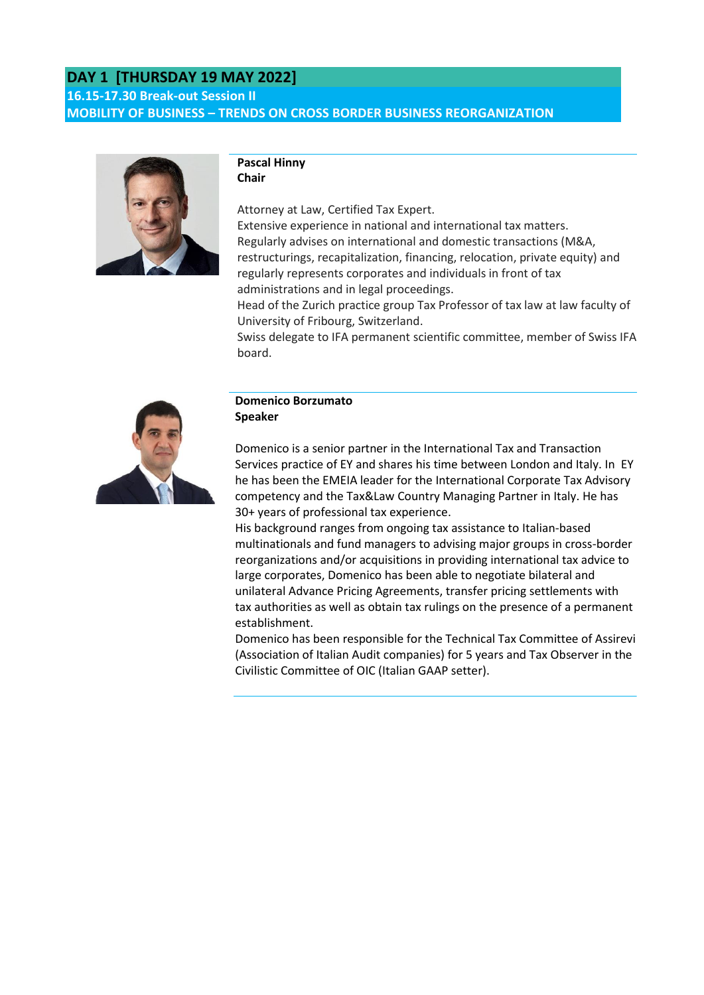# **DAY 1 [THURSDAY 19 MAY 2022]**

**16.15-17.30 Break-out Session II MOBILITY OF BUSINESS – TRENDS ON CROSS BORDER BUSINESS REORGANIZATION**



#### **Pascal Hinny Chair**

Attorney at Law, Certified Tax Expert. Extensive experience in national and international tax matters. Regularly advises on international and domestic transactions (M&A, restructurings, recapitalization, financing, relocation, private equity) and regularly represents corporates and individuals in front of tax administrations and in legal proceedings.

Head of the Zurich practice group Tax Professor of tax law at law faculty of University of Fribourg, Switzerland.

Swiss delegate to IFA permanent scientific committee, member of Swiss IFA board.



#### **Domenico Borzumato Speaker**

Domenico is a senior partner in the International Tax and Transaction Services practice of EY and shares his time between London and Italy. In EY he has been the EMEIA leader for the International Corporate Tax Advisory competency and the Tax&Law Country Managing Partner in Italy. He has 30+ years of professional tax experience.

His background ranges from ongoing tax assistance to Italian-based multinationals and fund managers to advising major groups in cross-border reorganizations and/or acquisitions in providing international tax advice to large corporates, Domenico has been able to negotiate bilateral and unilateral Advance Pricing Agreements, transfer pricing settlements with tax authorities as well as obtain tax rulings on the presence of a permanent establishment.

Domenico has been responsible for the Technical Tax Committee of Assirevi (Association of Italian Audit companies) for 5 years and Tax Observer in the Civilistic Committee of OIC (Italian GAAP setter).